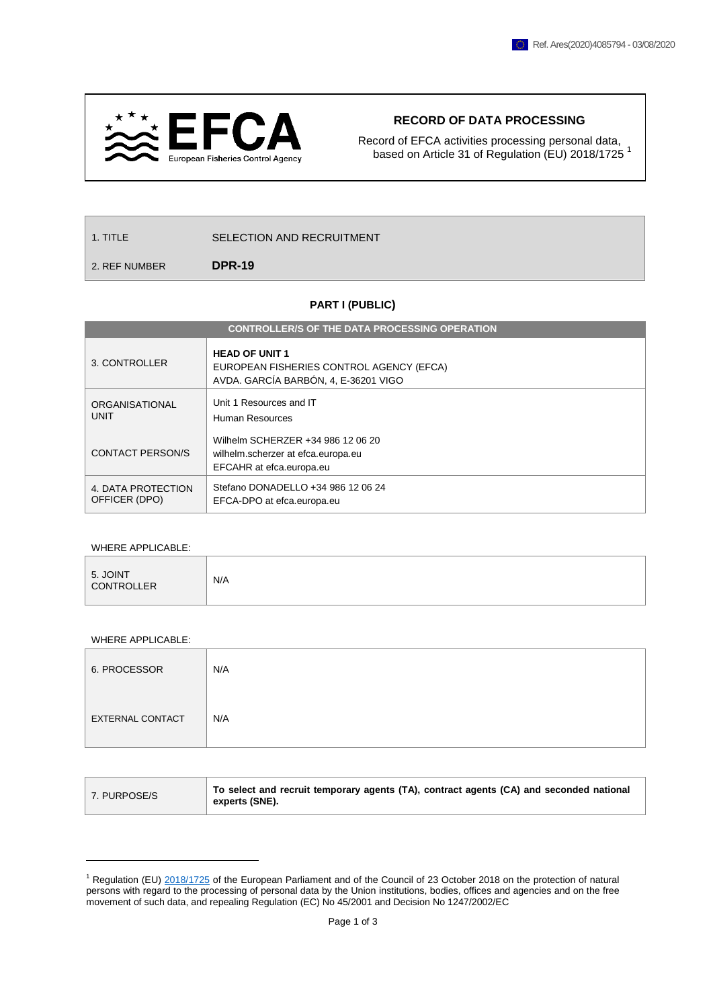

## **RECORD OF DATA PROCESSING**

Record of EFCA activities processing personal data, based on Article 31 of Regulation (EU) 2018/1725<sup>1</sup>

| 1. TITLE | SELECTION AND RECRUITMENT |
|----------|---------------------------|
|          |                           |

2. REF NUMBER **DPR-19**

## **PART I (PUBLIC)**

| <b>CONTROLLER/S OF THE DATA PROCESSING OPERATION</b>                                                                           |  |  |  |
|--------------------------------------------------------------------------------------------------------------------------------|--|--|--|
| <b>HEAD OF UNIT 1</b><br>3. CONTROLLER<br>EUROPEAN FISHERIES CONTROL AGENCY (EFCA)<br>AVDA. GARCÍA BARBÓN, 4, E-36201 VIGO     |  |  |  |
| Unit 1 Resources and IT<br>ORGANISATIONAL<br><b>UNIT</b><br>Human Resources                                                    |  |  |  |
| Wilhelm SCHERZER +34 986 12 06 20<br><b>CONTACT PERSON/S</b><br>wilhelm.scherzer at efca.europa.eu<br>EFCAHR at efca.europa.eu |  |  |  |
| Stefano DONADELLO +34 986 12 06 24<br>4. DATA PROTECTION<br>OFFICER (DPO)<br>EFCA-DPO at efca.europa.eu                        |  |  |  |

## WHERE APPLICABLE:

|--|

## WHERE APPLICABLE:

1

| 6. PROCESSOR            | N/A |
|-------------------------|-----|
| <b>EXTERNAL CONTACT</b> | N/A |

| To select and recruit temporary agents (TA), contract agents (CA) and seconded national |
|-----------------------------------------------------------------------------------------|
|                                                                                         |

<sup>&</sup>lt;sup>1</sup> Regulation (EU) [2018/1725](https://eur-lex.europa.eu/legal-content/EN/TXT/?uri=CELEX%3A32018R1725) of the European Parliament and of the Council of 23 October 2018 on the protection of natural persons with regard to the processing of personal data by the Union institutions, bodies, offices and agencies and on the free movement of such data, and repealing Regulation (EC) No 45/2001 and Decision No 1247/2002/EC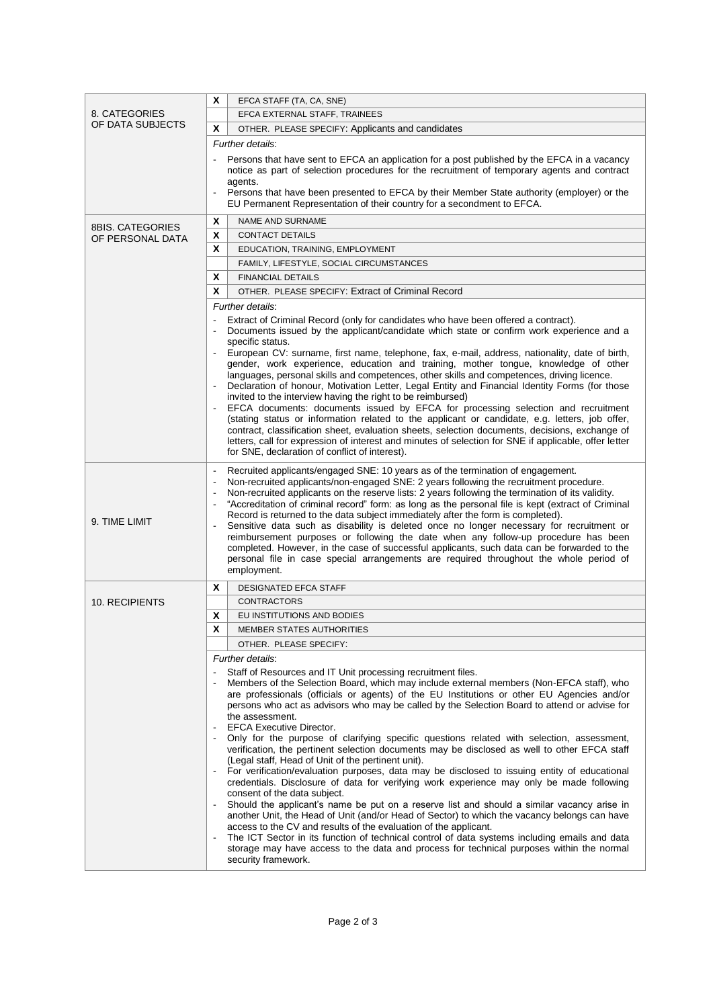| X<br>EFCA STAFF (TA, CA, SNE)        |                                                                                                                                                                                                                                                                                                                                                                                                                                                                                                                                                                                                                                                                                                                                                                                                                                                                    |                                                                                                                                                                                                                                                                                                                                                                                                                                                                                                                                                                                                                                                                                                                                                                                                                                                                                                                                                                                                                                                                                                                                                                                                                                                                                                                                                                                   |  |
|--------------------------------------|--------------------------------------------------------------------------------------------------------------------------------------------------------------------------------------------------------------------------------------------------------------------------------------------------------------------------------------------------------------------------------------------------------------------------------------------------------------------------------------------------------------------------------------------------------------------------------------------------------------------------------------------------------------------------------------------------------------------------------------------------------------------------------------------------------------------------------------------------------------------|-----------------------------------------------------------------------------------------------------------------------------------------------------------------------------------------------------------------------------------------------------------------------------------------------------------------------------------------------------------------------------------------------------------------------------------------------------------------------------------------------------------------------------------------------------------------------------------------------------------------------------------------------------------------------------------------------------------------------------------------------------------------------------------------------------------------------------------------------------------------------------------------------------------------------------------------------------------------------------------------------------------------------------------------------------------------------------------------------------------------------------------------------------------------------------------------------------------------------------------------------------------------------------------------------------------------------------------------------------------------------------------|--|
| 8. CATEGORIES                        |                                                                                                                                                                                                                                                                                                                                                                                                                                                                                                                                                                                                                                                                                                                                                                                                                                                                    | EFCA EXTERNAL STAFF, TRAINEES                                                                                                                                                                                                                                                                                                                                                                                                                                                                                                                                                                                                                                                                                                                                                                                                                                                                                                                                                                                                                                                                                                                                                                                                                                                                                                                                                     |  |
| OF DATA SUBJECTS                     | X                                                                                                                                                                                                                                                                                                                                                                                                                                                                                                                                                                                                                                                                                                                                                                                                                                                                  | OTHER. PLEASE SPECIFY: Applicants and candidates                                                                                                                                                                                                                                                                                                                                                                                                                                                                                                                                                                                                                                                                                                                                                                                                                                                                                                                                                                                                                                                                                                                                                                                                                                                                                                                                  |  |
|                                      |                                                                                                                                                                                                                                                                                                                                                                                                                                                                                                                                                                                                                                                                                                                                                                                                                                                                    |                                                                                                                                                                                                                                                                                                                                                                                                                                                                                                                                                                                                                                                                                                                                                                                                                                                                                                                                                                                                                                                                                                                                                                                                                                                                                                                                                                                   |  |
|                                      | Further details:<br>Persons that have sent to EFCA an application for a post published by the EFCA in a vacancy<br>notice as part of selection procedures for the recruitment of temporary agents and contract<br>agents.<br>Persons that have been presented to EFCA by their Member State authority (employer) or the<br>EU Permanent Representation of their country for a secondment to EFCA.                                                                                                                                                                                                                                                                                                                                                                                                                                                                  |                                                                                                                                                                                                                                                                                                                                                                                                                                                                                                                                                                                                                                                                                                                                                                                                                                                                                                                                                                                                                                                                                                                                                                                                                                                                                                                                                                                   |  |
|                                      | X                                                                                                                                                                                                                                                                                                                                                                                                                                                                                                                                                                                                                                                                                                                                                                                                                                                                  | <b>NAME AND SURNAME</b>                                                                                                                                                                                                                                                                                                                                                                                                                                                                                                                                                                                                                                                                                                                                                                                                                                                                                                                                                                                                                                                                                                                                                                                                                                                                                                                                                           |  |
| 8BIS, CATEGORIES<br>OF PERSONAL DATA | X                                                                                                                                                                                                                                                                                                                                                                                                                                                                                                                                                                                                                                                                                                                                                                                                                                                                  | <b>CONTACT DETAILS</b>                                                                                                                                                                                                                                                                                                                                                                                                                                                                                                                                                                                                                                                                                                                                                                                                                                                                                                                                                                                                                                                                                                                                                                                                                                                                                                                                                            |  |
|                                      | x                                                                                                                                                                                                                                                                                                                                                                                                                                                                                                                                                                                                                                                                                                                                                                                                                                                                  | EDUCATION, TRAINING, EMPLOYMENT                                                                                                                                                                                                                                                                                                                                                                                                                                                                                                                                                                                                                                                                                                                                                                                                                                                                                                                                                                                                                                                                                                                                                                                                                                                                                                                                                   |  |
|                                      |                                                                                                                                                                                                                                                                                                                                                                                                                                                                                                                                                                                                                                                                                                                                                                                                                                                                    | FAMILY, LIFESTYLE, SOCIAL CIRCUMSTANCES                                                                                                                                                                                                                                                                                                                                                                                                                                                                                                                                                                                                                                                                                                                                                                                                                                                                                                                                                                                                                                                                                                                                                                                                                                                                                                                                           |  |
|                                      | X                                                                                                                                                                                                                                                                                                                                                                                                                                                                                                                                                                                                                                                                                                                                                                                                                                                                  | <b>FINANCIAL DETAILS</b>                                                                                                                                                                                                                                                                                                                                                                                                                                                                                                                                                                                                                                                                                                                                                                                                                                                                                                                                                                                                                                                                                                                                                                                                                                                                                                                                                          |  |
|                                      | X                                                                                                                                                                                                                                                                                                                                                                                                                                                                                                                                                                                                                                                                                                                                                                                                                                                                  | OTHER. PLEASE SPECIFY: Extract of Criminal Record                                                                                                                                                                                                                                                                                                                                                                                                                                                                                                                                                                                                                                                                                                                                                                                                                                                                                                                                                                                                                                                                                                                                                                                                                                                                                                                                 |  |
|                                      |                                                                                                                                                                                                                                                                                                                                                                                                                                                                                                                                                                                                                                                                                                                                                                                                                                                                    | Further details:                                                                                                                                                                                                                                                                                                                                                                                                                                                                                                                                                                                                                                                                                                                                                                                                                                                                                                                                                                                                                                                                                                                                                                                                                                                                                                                                                                  |  |
|                                      |                                                                                                                                                                                                                                                                                                                                                                                                                                                                                                                                                                                                                                                                                                                                                                                                                                                                    | Extract of Criminal Record (only for candidates who have been offered a contract).<br>Documents issued by the applicant/candidate which state or confirm work experience and a<br>specific status.<br>European CV: surname, first name, telephone, fax, e-mail, address, nationality, date of birth,<br>gender, work experience, education and training, mother tongue, knowledge of other<br>languages, personal skills and competences, other skills and competences, driving licence.<br>Declaration of honour, Motivation Letter, Legal Entity and Financial Identity Forms (for those<br>invited to the interview having the right to be reimbursed)<br>EFCA documents: documents issued by EFCA for processing selection and recruitment<br>(stating status or information related to the applicant or candidate, e.g. letters, job offer,<br>contract, classification sheet, evaluation sheets, selection documents, decisions, exchange of<br>letters, call for expression of interest and minutes of selection for SNE if applicable, offer letter<br>for SNE, declaration of conflict of interest).                                                                                                                                                                                                                                                                     |  |
| 9. TIME LIMIT                        | Recruited applicants/engaged SNE: 10 years as of the termination of engagement.<br>Non-recruited applicants/non-engaged SNE: 2 years following the recruitment procedure.<br>Non-recruited applicants on the reserve lists: 2 years following the termination of its validity.<br>"Accreditation of criminal record" form: as long as the personal file is kept (extract of Criminal<br>Record is returned to the data subject immediately after the form is completed).<br>Sensitive data such as disability is deleted once no longer necessary for recruitment or<br>reimbursement purposes or following the date when any follow-up procedure has been<br>completed. However, in the case of successful applicants, such data can be forwarded to the<br>personal file in case special arrangements are required throughout the whole period of<br>employment. |                                                                                                                                                                                                                                                                                                                                                                                                                                                                                                                                                                                                                                                                                                                                                                                                                                                                                                                                                                                                                                                                                                                                                                                                                                                                                                                                                                                   |  |
|                                      | X                                                                                                                                                                                                                                                                                                                                                                                                                                                                                                                                                                                                                                                                                                                                                                                                                                                                  | <b>DESIGNATED EFCA STAFF</b>                                                                                                                                                                                                                                                                                                                                                                                                                                                                                                                                                                                                                                                                                                                                                                                                                                                                                                                                                                                                                                                                                                                                                                                                                                                                                                                                                      |  |
| 10. RECIPIENTS                       |                                                                                                                                                                                                                                                                                                                                                                                                                                                                                                                                                                                                                                                                                                                                                                                                                                                                    | <b>CONTRACTORS</b>                                                                                                                                                                                                                                                                                                                                                                                                                                                                                                                                                                                                                                                                                                                                                                                                                                                                                                                                                                                                                                                                                                                                                                                                                                                                                                                                                                |  |
|                                      | x                                                                                                                                                                                                                                                                                                                                                                                                                                                                                                                                                                                                                                                                                                                                                                                                                                                                  | EU INSTITUTIONS AND BODIES                                                                                                                                                                                                                                                                                                                                                                                                                                                                                                                                                                                                                                                                                                                                                                                                                                                                                                                                                                                                                                                                                                                                                                                                                                                                                                                                                        |  |
|                                      | X                                                                                                                                                                                                                                                                                                                                                                                                                                                                                                                                                                                                                                                                                                                                                                                                                                                                  | MEMBER STATES AUTHORITIES                                                                                                                                                                                                                                                                                                                                                                                                                                                                                                                                                                                                                                                                                                                                                                                                                                                                                                                                                                                                                                                                                                                                                                                                                                                                                                                                                         |  |
|                                      |                                                                                                                                                                                                                                                                                                                                                                                                                                                                                                                                                                                                                                                                                                                                                                                                                                                                    | OTHER. PLEASE SPECIFY:                                                                                                                                                                                                                                                                                                                                                                                                                                                                                                                                                                                                                                                                                                                                                                                                                                                                                                                                                                                                                                                                                                                                                                                                                                                                                                                                                            |  |
|                                      |                                                                                                                                                                                                                                                                                                                                                                                                                                                                                                                                                                                                                                                                                                                                                                                                                                                                    | Further details:                                                                                                                                                                                                                                                                                                                                                                                                                                                                                                                                                                                                                                                                                                                                                                                                                                                                                                                                                                                                                                                                                                                                                                                                                                                                                                                                                                  |  |
|                                      | $\blacksquare$<br>$\blacksquare$                                                                                                                                                                                                                                                                                                                                                                                                                                                                                                                                                                                                                                                                                                                                                                                                                                   | Staff of Resources and IT Unit processing recruitment files.<br>Members of the Selection Board, which may include external members (Non-EFCA staff), who<br>are professionals (officials or agents) of the EU Institutions or other EU Agencies and/or<br>persons who act as advisors who may be called by the Selection Board to attend or advise for<br>the assessment.<br><b>EFCA Executive Director.</b><br>Only for the purpose of clarifying specific questions related with selection, assessment,<br>verification, the pertinent selection documents may be disclosed as well to other EFCA staff<br>(Legal staff, Head of Unit of the pertinent unit).<br>For verification/evaluation purposes, data may be disclosed to issuing entity of educational<br>credentials. Disclosure of data for verifying work experience may only be made following<br>consent of the data subject.<br>Should the applicant's name be put on a reserve list and should a similar vacancy arise in<br>another Unit, the Head of Unit (and/or Head of Sector) to which the vacancy belongs can have<br>access to the CV and results of the evaluation of the applicant.<br>The ICT Sector in its function of technical control of data systems including emails and data<br>storage may have access to the data and process for technical purposes within the normal<br>security framework. |  |